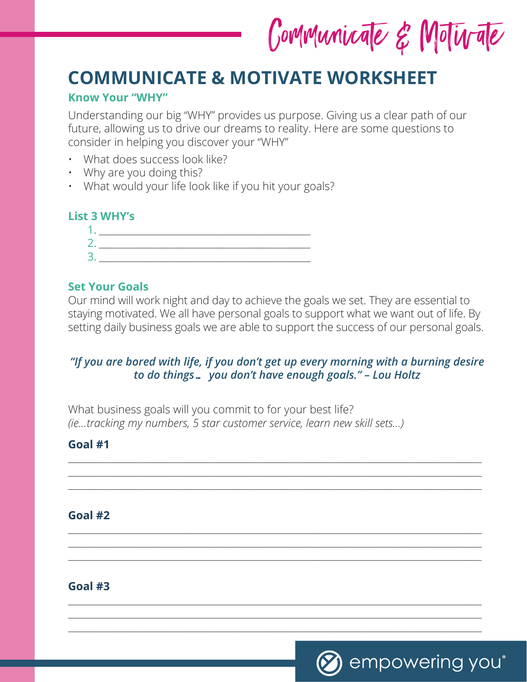Communicate & Motivate

# **COMMUNICATE & MOTIVATE WORKSHEET**

### **Know Your "WHY"**

Understanding our big "WHY" provides us purpose. Giving us a clear path of our future, allowing us to drive our dreams to reality. Here are some questions to consider in helping you discover your "WHY"

- What does success look like?
- Why are you doing this?
- What would your life look like if you hit your goals?

#### **List 3 WHY's**

#### **Set Your Goals**

Our mind will work night and day to achieve the goals we set. They are essential to staying motivated. We all have personal goals to support what we want out of life. By setting daily business goals we are able to support the success of our personal goals.

## *"If you are bored with life, if you don't get up every morning with a burning desire to do things… you don't have enough goals." – Lou Holtz*

\_\_\_\_\_\_\_\_\_\_\_\_\_\_\_\_\_\_\_\_\_\_\_\_\_\_\_\_\_\_\_\_\_\_\_\_\_\_\_\_\_\_\_\_\_\_\_\_\_\_\_\_\_\_\_\_\_\_\_\_\_\_\_\_\_\_\_\_\_\_\_\_\_\_\_\_\_\_\_\_\_\_\_\_\_\_\_\_\_\_ \_\_\_\_\_\_\_\_\_\_\_\_\_\_\_\_\_\_\_\_\_\_\_\_\_\_\_\_\_\_\_\_\_\_\_\_\_\_\_\_\_\_\_\_\_\_\_\_\_\_\_\_\_\_\_\_\_\_\_\_\_\_\_\_\_\_\_\_\_\_\_\_\_\_\_\_\_\_\_\_\_\_\_\_\_\_\_\_\_\_ \_\_\_\_\_\_\_\_\_\_\_\_\_\_\_\_\_\_\_\_\_\_\_\_\_\_\_\_\_\_\_\_\_\_\_\_\_\_\_\_\_\_\_\_\_\_\_\_\_\_\_\_\_\_\_\_\_\_\_\_\_\_\_\_\_\_\_\_\_\_\_\_\_\_\_\_\_\_\_\_\_\_\_\_\_\_\_\_\_\_

\_\_\_\_\_\_\_\_\_\_\_\_\_\_\_\_\_\_\_\_\_\_\_\_\_\_\_\_\_\_\_\_\_\_\_\_\_\_\_\_\_\_\_\_\_\_\_\_\_\_\_\_\_\_\_\_\_\_\_\_\_\_\_\_\_\_\_\_\_\_\_\_\_\_\_\_\_\_\_\_\_\_\_\_\_\_\_\_\_\_ \_\_\_\_\_\_\_\_\_\_\_\_\_\_\_\_\_\_\_\_\_\_\_\_\_\_\_\_\_\_\_\_\_\_\_\_\_\_\_\_\_\_\_\_\_\_\_\_\_\_\_\_\_\_\_\_\_\_\_\_\_\_\_\_\_\_\_\_\_\_\_\_\_\_\_\_\_\_\_\_\_\_\_\_\_\_\_\_\_\_ \_\_\_\_\_\_\_\_\_\_\_\_\_\_\_\_\_\_\_\_\_\_\_\_\_\_\_\_\_\_\_\_\_\_\_\_\_\_\_\_\_\_\_\_\_\_\_\_\_\_\_\_\_\_\_\_\_\_\_\_\_\_\_\_\_\_\_\_\_\_\_\_\_\_\_\_\_\_\_\_\_\_\_\_\_\_\_\_\_\_

\_\_\_\_\_\_\_\_\_\_\_\_\_\_\_\_\_\_\_\_\_\_\_\_\_\_\_\_\_\_\_\_\_\_\_\_\_\_\_\_\_\_\_\_\_\_\_\_\_\_\_\_\_\_\_\_\_\_\_\_\_\_\_\_\_\_\_\_\_\_\_\_\_\_\_\_\_\_\_\_\_\_\_\_\_\_\_\_\_\_ \_\_\_\_\_\_\_\_\_\_\_\_\_\_\_\_\_\_\_\_\_\_\_\_\_\_\_\_\_\_\_\_\_\_\_\_\_\_\_\_\_\_\_\_\_\_\_\_\_\_\_\_\_\_\_\_\_\_\_\_\_\_\_\_\_\_\_\_\_\_\_\_\_\_\_\_\_\_\_\_\_\_\_\_\_\_\_\_\_\_ \_\_\_\_\_\_\_\_\_\_\_\_\_\_\_\_\_\_\_\_\_\_\_\_\_\_\_\_\_\_\_\_\_\_\_\_\_\_\_\_\_\_\_\_\_\_\_\_\_\_\_\_\_\_\_\_\_\_\_\_\_\_\_\_\_\_\_\_\_\_\_\_\_\_\_\_\_\_\_\_\_\_\_\_\_\_\_\_\_\_

What business goals will you commit to for your best life? *(ie…tracking my numbers, 5 star customer service, learn new skill sets…)* 

#### **Goal #1**

#### **Goal #2**

**Goal #3**